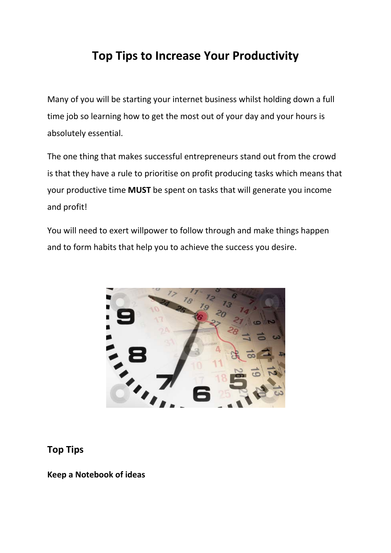# **Top Tips to Increase Your Productivity**

Many of you will be starting your internet business whilst holding down a full time job so learning how to get the most out of your day and your hours is absolutely essential.

The one thing that makes successful entrepreneurs stand out from the crowd is that they have a rule to prioritise on profit producing tasks which means that your productive time **MUST** be spent on tasks that will generate you income and profit!

You will need to exert willpower to follow through and make things happen and to form habits that help you to achieve the success you desire.



#### **Top Tips**

**Keep a Notebook of ideas**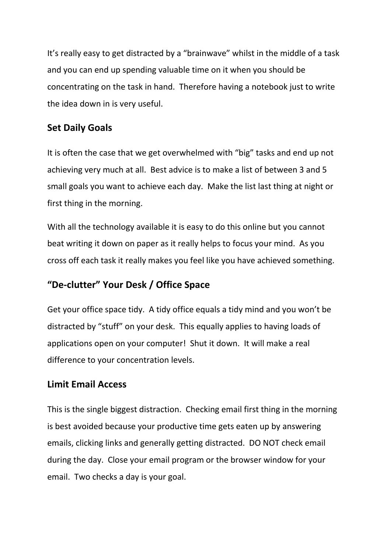It's really easy to get distracted by a "brainwave" whilst in the middle of a task and you can end up spending valuable time on it when you should be concentrating on the task in hand. Therefore having a notebook just to write the idea down in is very useful.

# **Set Daily Goals**

It is often the case that we get overwhelmed with "big" tasks and end up not achieving very much at all. Best advice is to make a list of between 3 and 5 small goals you want to achieve each day. Make the list last thing at night or first thing in the morning.

With all the technology available it is easy to do this online but you cannot beat writing it down on paper as it really helps to focus your mind. As you cross off each task it really makes you feel like you have achieved something.

# **"De-clutter" Your Desk / Office Space**

Get your office space tidy. A tidy office equals a tidy mind and you won't be distracted by "stuff" on your desk. This equally applies to having loads of applications open on your computer! Shut it down. It will make a real difference to your concentration levels.

# **Limit Email Access**

This is the single biggest distraction. Checking email first thing in the morning is best avoided because your productive time gets eaten up by answering emails, clicking links and generally getting distracted. DO NOT check email during the day. Close your email program or the browser window for your email. Two checks a day is your goal.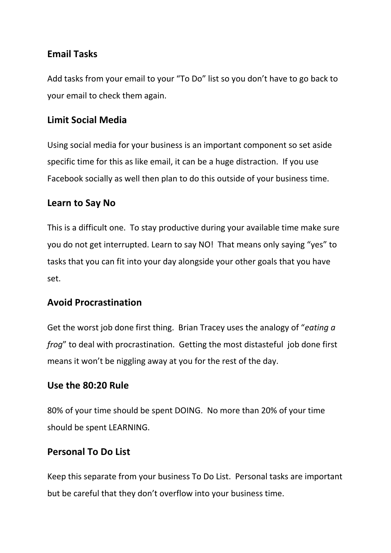# **Email Tasks**

Add tasks from your email to your "To Do" list so you don't have to go back to your email to check them again.

## **Limit Social Media**

Using social media for your business is an important component so set aside specific time for this as like email, it can be a huge distraction. If you use Facebook socially as well then plan to do this outside of your business time.

# **Learn to Say No**

This is a difficult one. To stay productive during your available time make sure you do not get interrupted. Learn to say NO! That means only saying "yes" to tasks that you can fit into your day alongside your other goals that you have set.

### **Avoid Procrastination**

Get the worst job done first thing. Brian Tracey uses the analogy of "*eating a frog*" to deal with procrastination. Getting the most distasteful job done first means it won't be niggling away at you for the rest of the day.

### **Use the 80:20 Rule**

80% of your time should be spent DOING. No more than 20% of your time should be spent LEARNING.

### **Personal To Do List**

Keep this separate from your business To Do List. Personal tasks are important but be careful that they don't overflow into your business time.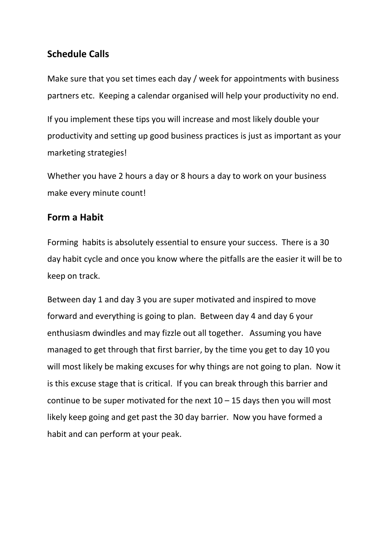# **Schedule Calls**

Make sure that you set times each day / week for appointments with business partners etc. Keeping a calendar organised will help your productivity no end.

If you implement these tips you will increase and most likely double your productivity and setting up good business practices is just as important as your marketing strategies!

Whether you have 2 hours a day or 8 hours a day to work on your business make every minute count!

#### **Form a Habit**

Forming habits is absolutely essential to ensure your success. There is a 30 day habit cycle and once you know where the pitfalls are the easier it will be to keep on track.

Between day 1 and day 3 you are super motivated and inspired to move forward and everything is going to plan. Between day 4 and day 6 your enthusiasm dwindles and may fizzle out all together. Assuming you have managed to get through that first barrier, by the time you get to day 10 you will most likely be making excuses for why things are not going to plan. Now it is this excuse stage that is critical. If you can break through this barrier and continue to be super motivated for the next  $10 - 15$  days then you will most likely keep going and get past the 30 day barrier. Now you have formed a habit and can perform at your peak.